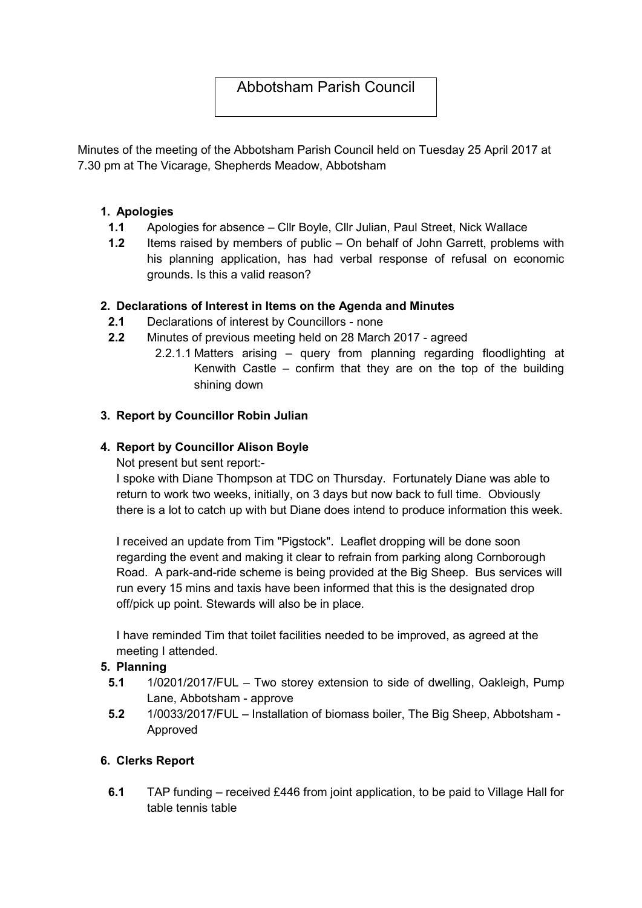# Abbotsham Parish Council

Minutes of the meeting of the Abbotsham Parish Council held on Tuesday 25 April 2017 at 7.30 pm at The Vicarage, Shepherds Meadow, Abbotsham

#### 1. Apologies

- 1.1 Apologies for absence Cllr Boyle, Cllr Julian, Paul Street, Nick Wallace
- 1.2 Items raised by members of public On behalf of John Garrett, problems with his planning application, has had verbal response of refusal on economic grounds. Is this a valid reason?

#### 2. Declarations of Interest in Items on the Agenda and Minutes

- 2.1 Declarations of interest by Councillors none
- 2.2 Minutes of previous meeting held on 28 March 2017 agreed
	- 2.2.1.1 Matters arising query from planning regarding floodlighting at Kenwith Castle – confirm that they are on the top of the building shining down

#### 3. Report by Councillor Robin Julian

#### 4. Report by Councillor Alison Boyle

Not present but sent report:-

I spoke with Diane Thompson at TDC on Thursday. Fortunately Diane was able to return to work two weeks, initially, on 3 days but now back to full time. Obviously there is a lot to catch up with but Diane does intend to produce information this week.

I received an update from Tim "Pigstock". Leaflet dropping will be done soon regarding the event and making it clear to refrain from parking along Cornborough Road. A park-and-ride scheme is being provided at the Big Sheep. Bus services will run every 15 mins and taxis have been informed that this is the designated drop off/pick up point. Stewards will also be in place.

I have reminded Tim that toilet facilities needed to be improved, as agreed at the meeting I attended.

#### 5. Planning

- 5.1 1/0201/2017/FUL Two storey extension to side of dwelling, Oakleigh, Pump Lane, Abbotsham - approve
- 5.2 1/0033/2017/FUL Installation of biomass boiler, The Big Sheep, Abbotsham Approved

## 6. Clerks Report

6.1 TAP funding – received £446 from joint application, to be paid to Village Hall for table tennis table